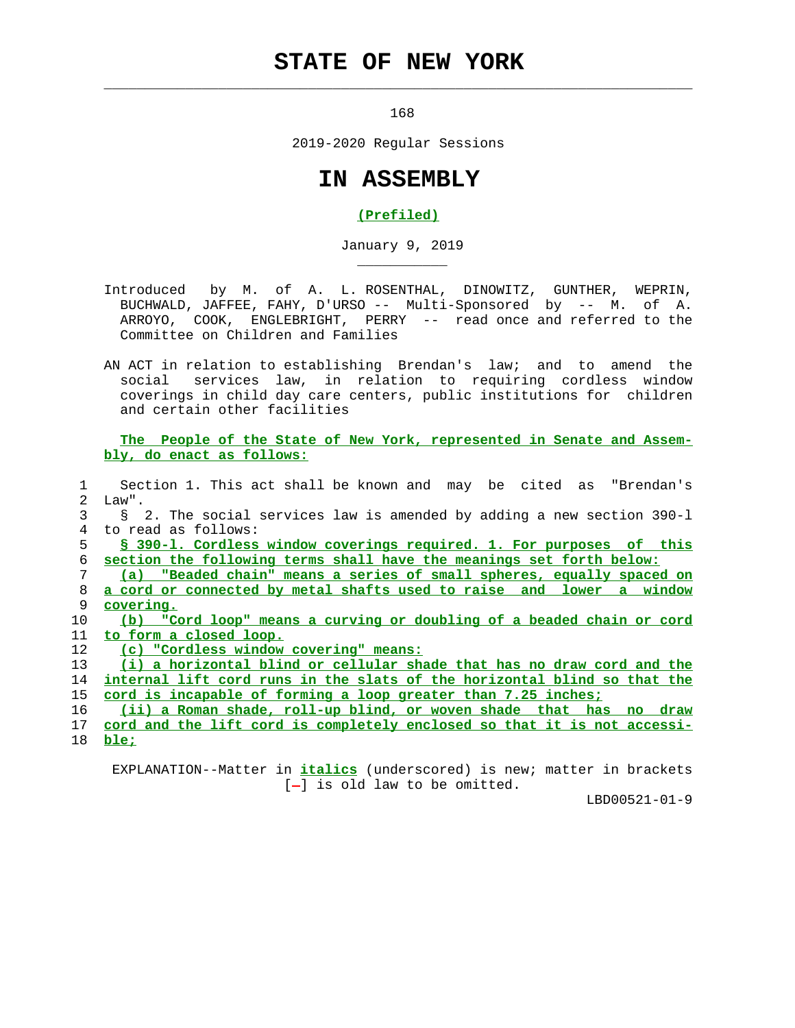## **STATE OF NEW YORK**

 $\mathcal{L}_\text{max} = \frac{1}{2} \sum_{i=1}^{n} \frac{1}{2} \sum_{i=1}^{n} \frac{1}{2} \sum_{i=1}^{n} \frac{1}{2} \sum_{i=1}^{n} \frac{1}{2} \sum_{i=1}^{n} \frac{1}{2} \sum_{i=1}^{n} \frac{1}{2} \sum_{i=1}^{n} \frac{1}{2} \sum_{i=1}^{n} \frac{1}{2} \sum_{i=1}^{n} \frac{1}{2} \sum_{i=1}^{n} \frac{1}{2} \sum_{i=1}^{n} \frac{1}{2} \sum_{i=1}^{n} \frac{1$ 

168

2019-2020 Regular Sessions

## **IN ASSEMBLY**

## **(Prefiled)**

January 9, 2019

- Introduced by M. of A. L. ROSENTHAL, DINOWITZ, GUNTHER, WEPRIN, BUCHWALD, JAFFEE, FAHY, D'URSO -- Multi-Sponsored by -- M. of A. ARROYO, COOK, ENGLEBRIGHT, PERRY -- read once and referred to the Committee on Children and Families
- AN ACT in relation to establishing Brendan's law; and to amend the social services law, in relation to requiring cordless window coverings in child day care centers, public institutions for children and certain other facilities

 **The People of the State of New York, represented in Senate and Assem bly, do enact as follows:**

 1 Section 1. This act shall be known and may be cited as "Brendan's 2 Law". 3 § 2. The social services law is amended by adding a new section 390-l 4 to read as follows: 5 **§ 390-l. Cordless window coverings required. 1. For purposes of this**

6 **section the following terms shall have the meanings set forth below:**

 7 **(a) "Beaded chain" means a series of small spheres, equally spaced on** 8 **a cord or connected by metal shafts used to raise and lower a window** 9 **covering.**

- 10 **(b) "Cord loop" means a curving or doubling of a beaded chain or cord** 11 **to form a closed loop.**
- 12 **(c) "Cordless window covering" means:**

\_\_\_\_\_\_\_\_\_\_\_

 13 **(i) a horizontal blind or cellular shade that has no draw cord and the** 14 **internal lift cord runs in the slats of the horizontal blind so that the** 15 **cord is incapable of forming a loop greater than 7.25 inches;**

16 **(ii) a Roman shade, roll-up blind, or woven shade that has no draw**

 17 **cord and the lift cord is completely enclosed so that it is not accessi-** 18 **ble;**

 EXPLANATION--Matter in **italics** (underscored) is new; matter in brackets  $[-]$  is old law to be omitted.

LBD00521-01-9